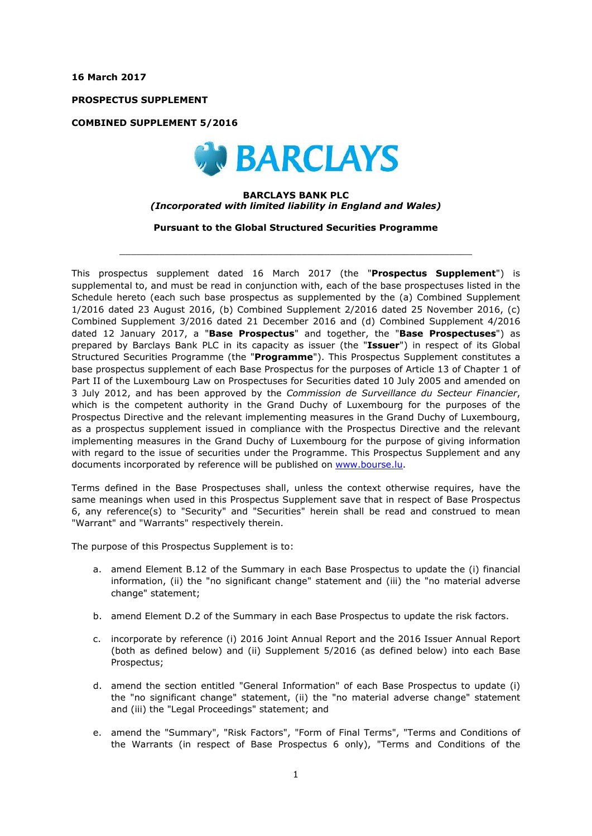**16 March 2017**

**PROSPECTUS SUPPLEMENT**

**COMBINED SUPPLEMENT 5/2016**



#### **BARCLAYS BANK PLC** *(Incorporated with limited liability in England and Wales)*

**Pursuant to the Global Structured Securities Programme**

 $\_$  ,  $\_$  ,  $\_$  ,  $\_$  ,  $\_$  ,  $\_$  ,  $\_$  ,  $\_$  ,  $\_$  ,  $\_$  ,  $\_$  ,  $\_$  ,  $\_$  ,  $\_$  ,  $\_$  ,  $\_$  ,  $\_$  ,  $\_$  ,  $\_$  ,  $\_$  ,  $\_$  ,  $\_$  ,  $\_$  ,  $\_$  ,  $\_$  ,  $\_$  ,  $\_$  ,  $\_$  ,  $\_$  ,  $\_$  ,  $\_$  ,  $\_$  ,  $\_$  ,  $\_$  ,  $\_$  ,  $\_$  ,  $\_$  ,

This prospectus supplement dated 16 March 2017 (the "**Prospectus Supplement**") is supplemental to, and must be read in conjunction with, each of the base prospectuses listed in the Schedule hereto (each such base prospectus as supplemented by the (a) Combined Supplement 1/2016 dated 23 August 2016, (b) Combined Supplement 2/2016 dated 25 November 2016, (c) Combined Supplement 3/2016 dated 21 December 2016 and (d) Combined Supplement 4/2016 dated 12 January 2017, a "**Base Prospectus**" and together, the "**Base Prospectuses**") as prepared by Barclays Bank PLC in its capacity as issuer (the "**Issuer**") in respect of its Global Structured Securities Programme (the "**Programme**"). This Prospectus Supplement constitutes a base prospectus supplement of each Base Prospectus for the purposes of Article 13 of Chapter 1 of Part II of the Luxembourg Law on Prospectuses for Securities dated 10 July 2005 and amended on 3 July 2012, and has been approved by the *Commission de Surveillance du Secteur Financier*, which is the competent authority in the Grand Duchy of Luxembourg for the purposes of the Prospectus Directive and the relevant implementing measures in the Grand Duchy of Luxembourg, as a prospectus supplement issued in compliance with the Prospectus Directive and the relevant implementing measures in the Grand Duchy of Luxembourg for the purpose of giving information with regard to the issue of securities under the Programme. This Prospectus Supplement and any documents incorporated by reference will be published on [www.bourse.lu.](http://www.bourse.lu/)

Terms defined in the Base Prospectuses shall, unless the context otherwise requires, have the same meanings when used in this Prospectus Supplement save that in respect of Base Prospectus 6, any reference(s) to "Security" and "Securities" herein shall be read and construed to mean "Warrant" and "Warrants" respectively therein.

The purpose of this Prospectus Supplement is to:

- a. amend Element B.12 of the Summary in each Base Prospectus to update the (i) financial information, (ii) the "no significant change" statement and (iii) the "no material adverse change" statement;
- b. amend Element D.2 of the Summary in each Base Prospectus to update the risk factors.
- c. incorporate by reference (i) 2016 Joint Annual Report and the 2016 Issuer Annual Report (both as defined below) and (ii) Supplement 5/2016 (as defined below) into each Base Prospectus;
- d. amend the section entitled "General Information" of each Base Prospectus to update (i) the "no significant change" statement, (ii) the "no material adverse change" statement and (iii) the "Legal Proceedings" statement; and
- e. amend the "Summary", "Risk Factors", "Form of Final Terms", "Terms and Conditions of the Warrants (in respect of Base Prospectus 6 only), "Terms and Conditions of the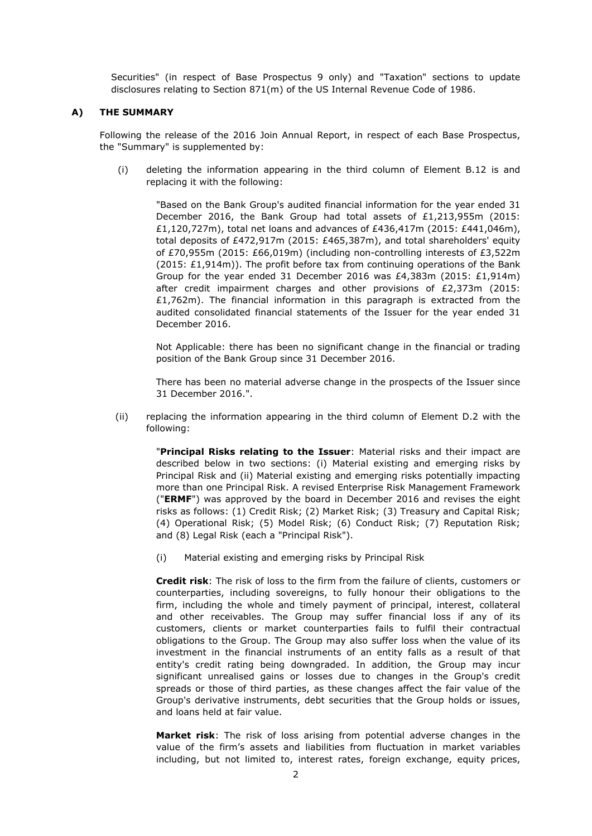Securities" (in respect of Base Prospectus 9 only) and "Taxation" sections to update disclosures relating to Section 871(m) of the US Internal Revenue Code of 1986.

#### **A) THE SUMMARY**

Following the release of the 2016 Join Annual Report, in respect of each Base Prospectus, the "Summary" is supplemented by:

(i) deleting the information appearing in the third column of Element B.12 is and replacing it with the following:

"Based on the Bank Group's audited financial information for the year ended 31 December 2016, the Bank Group had total assets of £1,213,955m (2015: £1,120,727m), total net loans and advances of £436,417m (2015: £441,046m), total deposits of £472,917m (2015: £465,387m), and total shareholders' equity of £70,955m (2015: £66,019m) (including non-controlling interests of £3,522m  $(2015: E1, 914m)$ ). The profit before tax from continuing operations of the Bank Group for the year ended 31 December 2016 was £4,383m (2015: £1,914m) after credit impairment charges and other provisions of £2,373m (2015: £1,762m). The financial information in this paragraph is extracted from the audited consolidated financial statements of the Issuer for the year ended 31 December 2016.

Not Applicable: there has been no significant change in the financial or trading position of the Bank Group since 31 December 2016.

There has been no material adverse change in the prospects of the Issuer since 31 December 2016.".

(ii) replacing the information appearing in the third column of Element D.2 with the following:

> "**Principal Risks relating to the Issuer**: Material risks and their impact are described below in two sections: (i) Material existing and emerging risks by Principal Risk and (ii) Material existing and emerging risks potentially impacting more than one Principal Risk. A revised Enterprise Risk Management Framework ("**ERMF**") was approved by the board in December 2016 and revises the eight risks as follows: (1) Credit Risk; (2) Market Risk; (3) Treasury and Capital Risk; (4) Operational Risk; (5) Model Risk; (6) Conduct Risk; (7) Reputation Risk; and (8) Legal Risk (each a "Principal Risk").

(i) Material existing and emerging risks by Principal Risk

**Credit risk**: The risk of loss to the firm from the failure of clients, customers or counterparties, including sovereigns, to fully honour their obligations to the firm, including the whole and timely payment of principal, interest, collateral and other receivables. The Group may suffer financial loss if any of its customers, clients or market counterparties fails to fulfil their contractual obligations to the Group. The Group may also suffer loss when the value of its investment in the financial instruments of an entity falls as a result of that entity's credit rating being downgraded. In addition, the Group may incur significant unrealised gains or losses due to changes in the Group's credit spreads or those of third parties, as these changes affect the fair value of the Group's derivative instruments, debt securities that the Group holds or issues, and loans held at fair value.

**Market risk**: The risk of loss arising from potential adverse changes in the value of the firm's assets and liabilities from fluctuation in market variables including, but not limited to, interest rates, foreign exchange, equity prices,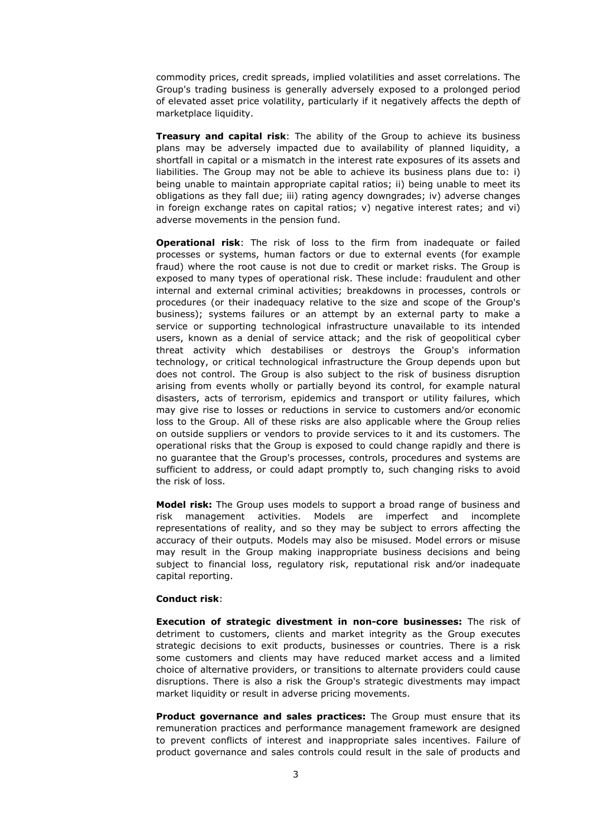commodity prices, credit spreads, implied volatilities and asset correlations. The Group's trading business is generally adversely exposed to a prolonged period of elevated asset price volatility, particularly if it negatively affects the depth of marketplace liquidity.

**Treasury and capital risk**: The ability of the Group to achieve its business plans may be adversely impacted due to availability of planned liquidity, a shortfall in capital or a mismatch in the interest rate exposures of its assets and liabilities. The Group may not be able to achieve its business plans due to: i) being unable to maintain appropriate capital ratios; ii) being unable to meet its obligations as they fall due; iii) rating agency downgrades; iv) adverse changes in foreign exchange rates on capital ratios; v) negative interest rates; and vi) adverse movements in the pension fund.

**Operational risk**: The risk of loss to the firm from inadequate or failed processes or systems, human factors or due to external events (for example fraud) where the root cause is not due to credit or market risks. The Group is exposed to many types of operational risk. These include: fraudulent and other internal and external criminal activities; breakdowns in processes, controls or procedures (or their inadequacy relative to the size and scope of the Group's business); systems failures or an attempt by an external party to make a service or supporting technological infrastructure unavailable to its intended users, known as a denial of service attack; and the risk of geopolitical cyber threat activity which destabilises or destroys the Group's information technology, or critical technological infrastructure the Group depends upon but does not control. The Group is also subject to the risk of business disruption arising from events wholly or partially beyond its control, for example natural disasters, acts of terrorism, epidemics and transport or utility failures, which may give rise to losses or reductions in service to customers and⁄or economic loss to the Group. All of these risks are also applicable where the Group relies on outside suppliers or vendors to provide services to it and its customers. The operational risks that the Group is exposed to could change rapidly and there is no guarantee that the Group's processes, controls, procedures and systems are sufficient to address, or could adapt promptly to, such changing risks to avoid the risk of loss.

**Model risk:** The Group uses models to support a broad range of business and risk management activities. Models are imperfect and incomplete representations of reality, and so they may be subject to errors affecting the accuracy of their outputs. Models may also be misused. Model errors or misuse may result in the Group making inappropriate business decisions and being subject to financial loss, regulatory risk, reputational risk and⁄or inadequate capital reporting.

#### **Conduct risk**:

**Execution of strategic divestment in non-core businesses:** The risk of detriment to customers, clients and market integrity as the Group executes strategic decisions to exit products, businesses or countries. There is a risk some customers and clients may have reduced market access and a limited choice of alternative providers, or transitions to alternate providers could cause disruptions. There is also a risk the Group's strategic divestments may impact market liquidity or result in adverse pricing movements.

**Product governance and sales practices:** The Group must ensure that its remuneration practices and performance management framework are designed to prevent conflicts of interest and inappropriate sales incentives. Failure of product governance and sales controls could result in the sale of products and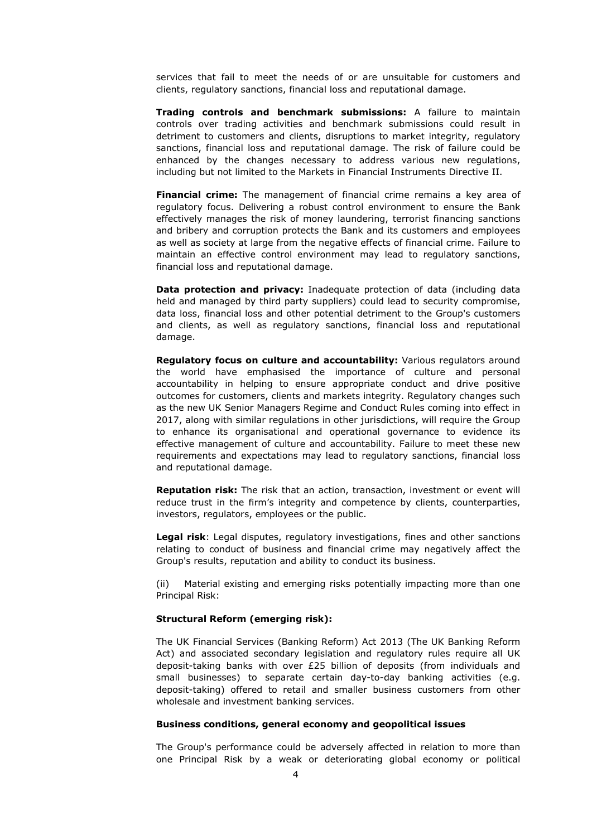services that fail to meet the needs of or are unsuitable for customers and clients, regulatory sanctions, financial loss and reputational damage.

**Trading controls and benchmark submissions:** A failure to maintain controls over trading activities and benchmark submissions could result in detriment to customers and clients, disruptions to market integrity, regulatory sanctions, financial loss and reputational damage. The risk of failure could be enhanced by the changes necessary to address various new regulations, including but not limited to the Markets in Financial Instruments Directive II.

**Financial crime:** The management of financial crime remains a key area of regulatory focus. Delivering a robust control environment to ensure the Bank effectively manages the risk of money laundering, terrorist financing sanctions and bribery and corruption protects the Bank and its customers and employees as well as society at large from the negative effects of financial crime. Failure to maintain an effective control environment may lead to regulatory sanctions, financial loss and reputational damage.

**Data protection and privacy:** Inadequate protection of data (including data held and managed by third party suppliers) could lead to security compromise, data loss, financial loss and other potential detriment to the Group's customers and clients, as well as regulatory sanctions, financial loss and reputational damage.

**Regulatory focus on culture and accountability:** Various regulators around the world have emphasised the importance of culture and personal accountability in helping to ensure appropriate conduct and drive positive outcomes for customers, clients and markets integrity. Regulatory changes such as the new UK Senior Managers Regime and Conduct Rules coming into effect in 2017, along with similar regulations in other jurisdictions, will require the Group to enhance its organisational and operational governance to evidence its effective management of culture and accountability. Failure to meet these new requirements and expectations may lead to regulatory sanctions, financial loss and reputational damage.

**Reputation risk:** The risk that an action, transaction, investment or event will reduce trust in the firm's integrity and competence by clients, counterparties, investors, regulators, employees or the public.

**Legal risk**: Legal disputes, regulatory investigations, fines and other sanctions relating to conduct of business and financial crime may negatively affect the Group's results, reputation and ability to conduct its business.

(ii) Material existing and emerging risks potentially impacting more than one Principal Risk:

### **Structural Reform (emerging risk):**

The UK Financial Services (Banking Reform) Act 2013 (The UK Banking Reform Act) and associated secondary legislation and regulatory rules require all UK deposit-taking banks with over £25 billion of deposits (from individuals and small businesses) to separate certain day-to-day banking activities (e.g. deposit-taking) offered to retail and smaller business customers from other wholesale and investment banking services.

#### **Business conditions, general economy and geopolitical issues**

The Group's performance could be adversely affected in relation to more than one Principal Risk by a weak or deteriorating global economy or political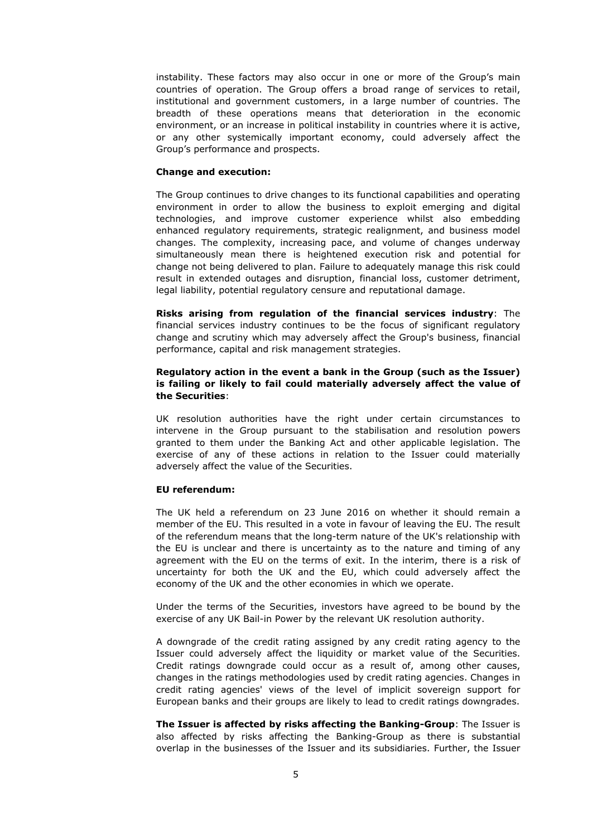instability. These factors may also occur in one or more of the Group's main countries of operation. The Group offers a broad range of services to retail, institutional and government customers, in a large number of countries. The breadth of these operations means that deterioration in the economic environment, or an increase in political instability in countries where it is active, or any other systemically important economy, could adversely affect the Group's performance and prospects.

#### **Change and execution:**

The Group continues to drive changes to its functional capabilities and operating environment in order to allow the business to exploit emerging and digital technologies, and improve customer experience whilst also embedding enhanced regulatory requirements, strategic realignment, and business model changes. The complexity, increasing pace, and volume of changes underway simultaneously mean there is heightened execution risk and potential for change not being delivered to plan. Failure to adequately manage this risk could result in extended outages and disruption, financial loss, customer detriment, legal liability, potential regulatory censure and reputational damage.

**Risks arising from regulation of the financial services industry**: The financial services industry continues to be the focus of significant regulatory change and scrutiny which may adversely affect the Group's business, financial performance, capital and risk management strategies.

### **Regulatory action in the event a bank in the Group (such as the Issuer) is failing or likely to fail could materially adversely affect the value of the Securities**:

UK resolution authorities have the right under certain circumstances to intervene in the Group pursuant to the stabilisation and resolution powers granted to them under the Banking Act and other applicable legislation. The exercise of any of these actions in relation to the Issuer could materially adversely affect the value of the Securities.

#### **EU referendum:**

The UK held a referendum on 23 June 2016 on whether it should remain a member of the EU. This resulted in a vote in favour of leaving the EU. The result of the referendum means that the long-term nature of the UK's relationship with the EU is unclear and there is uncertainty as to the nature and timing of any agreement with the EU on the terms of exit. In the interim, there is a risk of uncertainty for both the UK and the EU, which could adversely affect the economy of the UK and the other economies in which we operate.

Under the terms of the Securities, investors have agreed to be bound by the exercise of any UK Bail-in Power by the relevant UK resolution authority.

A downgrade of the credit rating assigned by any credit rating agency to the Issuer could adversely affect the liquidity or market value of the Securities. Credit ratings downgrade could occur as a result of, among other causes, changes in the ratings methodologies used by credit rating agencies. Changes in credit rating agencies' views of the level of implicit sovereign support for European banks and their groups are likely to lead to credit ratings downgrades.

**The Issuer is affected by risks affecting the Banking-Group**: The Issuer is also affected by risks affecting the Banking-Group as there is substantial overlap in the businesses of the Issuer and its subsidiaries. Further, the Issuer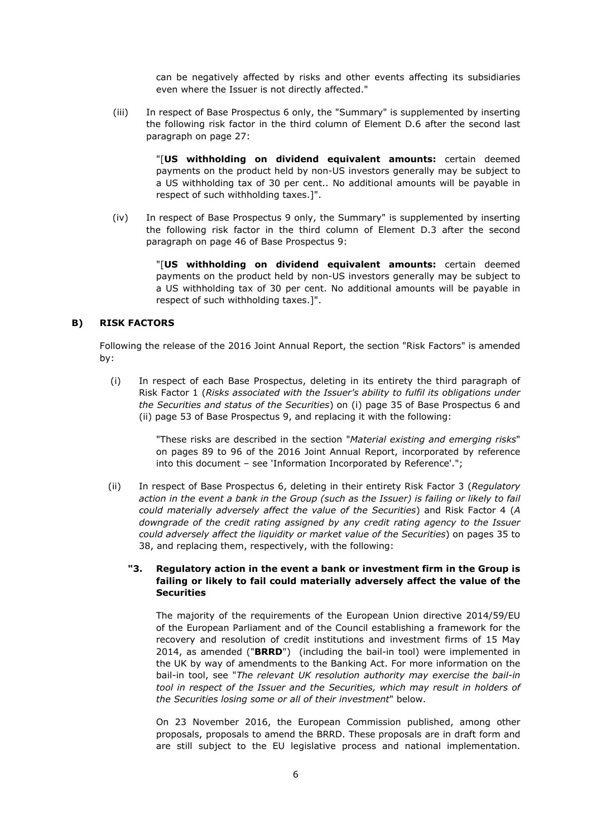can be negatively affected by risks and other events affecting its subsidiaries even where the Issuer is not directly affected."

(iii) In respect of Base Prospectus 6 only, the "Summary" is supplemented by inserting the following risk factor in the third column of Element D.6 after the second last paragraph on page 27:

> "[**US withholding on dividend equivalent amounts:** certain deemed payments on the product held by non-US investors generally may be subject to a US withholding tax of 30 per cent.. No additional amounts will be payable in respect of such withholding taxes.]".

(iv) In respect of Base Prospectus 9 only, the Summary" is supplemented by inserting the following risk factor in the third column of Element D.3 after the second paragraph on page 46 of Base Prospectus 9:

> "[**US withholding on dividend equivalent amounts:** certain deemed payments on the product held by non-US investors generally may be subject to a US withholding tax of 30 per cent. No additional amounts will be payable in respect of such withholding taxes.]".

### **B) RISK FACTORS**

Following the release of the 2016 Joint Annual Report, the section "Risk Factors" is amended by:

(i) In respect of each Base Prospectus, deleting in its entirety the third paragraph of Risk Factor 1 (*Risks associated with the Issuer's ability to fulfil its obligations under the Securities and status of the Securities*) on (i) page 35 of Base Prospectus 6 and (ii) page 53 of Base Prospectus 9, and replacing it with the following:

> "These risks are described in the section "*Material existing and emerging risks*" on pages 89 to 96 of the 2016 Joint Annual Report, incorporated by reference into this document – see 'Information Incorporated by Reference'.";

(ii) In respect of Base Prospectus 6, deleting in their entirety Risk Factor 3 (*Regulatory*  action in the event a bank in the Group (such as the Issuer) is failing or likely to fail *could materially adversely affect the value of the Securities*) and Risk Factor 4 (*A downgrade of the credit rating assigned by any credit rating agency to the Issuer could adversely affect the liquidity or market value of the Securities*) on pages 35 to 38, and replacing them, respectively, with the following:

# **"3. Regulatory action in the event a bank or investment firm in the Group is failing or likely to fail could materially adversely affect the value of the Securities**

The majority of the requirements of the European Union directive 2014/59/EU of the European Parliament and of the Council establishing a framework for the recovery and resolution of credit institutions and investment firms of 15 May 2014, as amended ("**BRRD**") (including the bail-in tool) were implemented in the UK by way of amendments to the Banking Act. For more information on the bail-in tool, see "*The relevant UK resolution authority may exercise the bail-in tool in respect of the Issuer and the Securities, which may result in holders of the Securities losing some or all of their investment*" below.

On 23 November 2016, the European Commission published, among other proposals, proposals to amend the BRRD. These proposals are in draft form and are still subject to the EU legislative process and national implementation.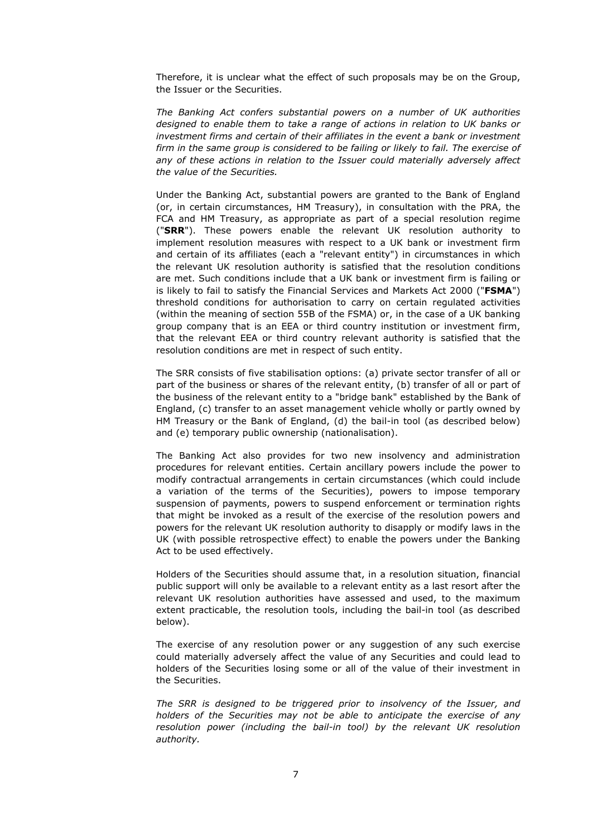Therefore, it is unclear what the effect of such proposals may be on the Group, the Issuer or the Securities.

*The Banking Act confers substantial powers on a number of UK authorities designed to enable them to take a range of actions in relation to UK banks or investment firms and certain of their affiliates in the event a bank or investment*  firm in the same group is considered to be failing or likely to fail. The exercise of *any of these actions in relation to the Issuer could materially adversely affect the value of the Securities.*

Under the Banking Act, substantial powers are granted to the Bank of England (or, in certain circumstances, HM Treasury), in consultation with the PRA, the FCA and HM Treasury, as appropriate as part of a special resolution regime ("**SRR**"). These powers enable the relevant UK resolution authority to implement resolution measures with respect to a UK bank or investment firm and certain of its affiliates (each a "relevant entity") in circumstances in which the relevant UK resolution authority is satisfied that the resolution conditions are met. Such conditions include that a UK bank or investment firm is failing or is likely to fail to satisfy the Financial Services and Markets Act 2000 ("**FSMA**") threshold conditions for authorisation to carry on certain regulated activities (within the meaning of section 55B of the FSMA) or, in the case of a UK banking group company that is an EEA or third country institution or investment firm, that the relevant EEA or third country relevant authority is satisfied that the resolution conditions are met in respect of such entity.

The SRR consists of five stabilisation options: (a) private sector transfer of all or part of the business or shares of the relevant entity, (b) transfer of all or part of the business of the relevant entity to a "bridge bank" established by the Bank of England, (c) transfer to an asset management vehicle wholly or partly owned by HM Treasury or the Bank of England, (d) the bail-in tool (as described below) and (e) temporary public ownership (nationalisation).

The Banking Act also provides for two new insolvency and administration procedures for relevant entities. Certain ancillary powers include the power to modify contractual arrangements in certain circumstances (which could include a variation of the terms of the Securities), powers to impose temporary suspension of payments, powers to suspend enforcement or termination rights that might be invoked as a result of the exercise of the resolution powers and powers for the relevant UK resolution authority to disapply or modify laws in the UK (with possible retrospective effect) to enable the powers under the Banking Act to be used effectively.

Holders of the Securities should assume that, in a resolution situation, financial public support will only be available to a relevant entity as a last resort after the relevant UK resolution authorities have assessed and used, to the maximum extent practicable, the resolution tools, including the bail-in tool (as described below).

The exercise of any resolution power or any suggestion of any such exercise could materially adversely affect the value of any Securities and could lead to holders of the Securities losing some or all of the value of their investment in the Securities.

*The SRR is designed to be triggered prior to insolvency of the Issuer, and holders of the Securities may not be able to anticipate the exercise of any resolution power (including the bail-in tool) by the relevant UK resolution authority.*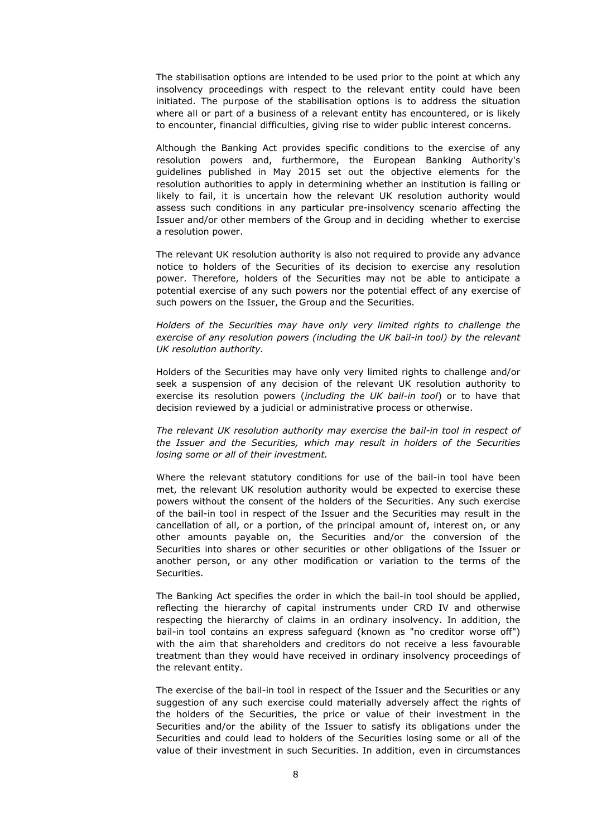The stabilisation options are intended to be used prior to the point at which any insolvency proceedings with respect to the relevant entity could have been initiated. The purpose of the stabilisation options is to address the situation where all or part of a business of a relevant entity has encountered, or is likely to encounter, financial difficulties, giving rise to wider public interest concerns.

Although the Banking Act provides specific conditions to the exercise of any resolution powers and, furthermore, the European Banking Authority's guidelines published in May 2015 set out the objective elements for the resolution authorities to apply in determining whether an institution is failing or likely to fail, it is uncertain how the relevant UK resolution authority would assess such conditions in any particular pre-insolvency scenario affecting the Issuer and/or other members of the Group and in deciding whether to exercise a resolution power.

The relevant UK resolution authority is also not required to provide any advance notice to holders of the Securities of its decision to exercise any resolution power. Therefore, holders of the Securities may not be able to anticipate a potential exercise of any such powers nor the potential effect of any exercise of such powers on the Issuer, the Group and the Securities.

*Holders of the Securities may have only very limited rights to challenge the exercise of any resolution powers (including the UK bail-in tool) by the relevant UK resolution authority.*

Holders of the Securities may have only very limited rights to challenge and/or seek a suspension of any decision of the relevant UK resolution authority to exercise its resolution powers (*including the UK bail-in tool*) or to have that decision reviewed by a judicial or administrative process or otherwise.

*The relevant UK resolution authority may exercise the bail-in tool in respect of the Issuer and the Securities, which may result in holders of the Securities losing some or all of their investment.*

Where the relevant statutory conditions for use of the bail-in tool have been met, the relevant UK resolution authority would be expected to exercise these powers without the consent of the holders of the Securities. Any such exercise of the bail-in tool in respect of the Issuer and the Securities may result in the cancellation of all, or a portion, of the principal amount of, interest on, or any other amounts payable on, the Securities and/or the conversion of the Securities into shares or other securities or other obligations of the Issuer or another person, or any other modification or variation to the terms of the Securities.

The Banking Act specifies the order in which the bail-in tool should be applied, reflecting the hierarchy of capital instruments under CRD IV and otherwise respecting the hierarchy of claims in an ordinary insolvency. In addition, the bail-in tool contains an express safeguard (known as "no creditor worse off") with the aim that shareholders and creditors do not receive a less favourable treatment than they would have received in ordinary insolvency proceedings of the relevant entity.

The exercise of the bail-in tool in respect of the Issuer and the Securities or any suggestion of any such exercise could materially adversely affect the rights of the holders of the Securities, the price or value of their investment in the Securities and/or the ability of the Issuer to satisfy its obligations under the Securities and could lead to holders of the Securities losing some or all of the value of their investment in such Securities. In addition, even in circumstances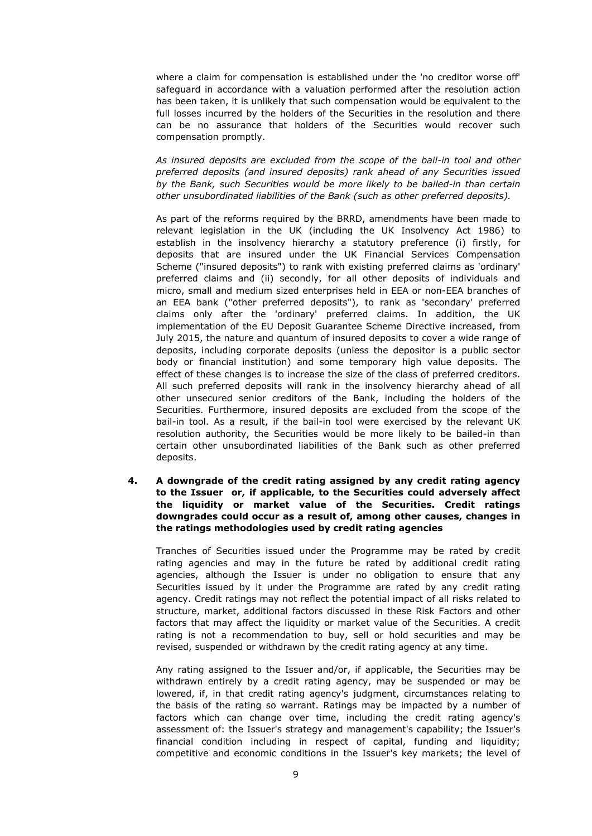where a claim for compensation is established under the 'no creditor worse off' safeguard in accordance with a valuation performed after the resolution action has been taken, it is unlikely that such compensation would be equivalent to the full losses incurred by the holders of the Securities in the resolution and there can be no assurance that holders of the Securities would recover such compensation promptly.

*As insured deposits are excluded from the scope of the bail-in tool and other preferred deposits (and insured deposits) rank ahead of any Securities issued by the Bank, such Securities would be more likely to be bailed-in than certain other unsubordinated liabilities of the Bank (such as other preferred deposits).*

As part of the reforms required by the BRRD, amendments have been made to relevant legislation in the UK (including the UK Insolvency Act 1986) to establish in the insolvency hierarchy a statutory preference (i) firstly, for deposits that are insured under the UK Financial Services Compensation Scheme ("insured deposits") to rank with existing preferred claims as 'ordinary' preferred claims and (ii) secondly, for all other deposits of individuals and micro, small and medium sized enterprises held in EEA or non-EEA branches of an EEA bank ("other preferred deposits"), to rank as 'secondary' preferred claims only after the 'ordinary' preferred claims. In addition, the UK implementation of the EU Deposit Guarantee Scheme Directive increased, from July 2015, the nature and quantum of insured deposits to cover a wide range of deposits, including corporate deposits (unless the depositor is a public sector body or financial institution) and some temporary high value deposits. The effect of these changes is to increase the size of the class of preferred creditors. All such preferred deposits will rank in the insolvency hierarchy ahead of all other unsecured senior creditors of the Bank, including the holders of the Securities. Furthermore, insured deposits are excluded from the scope of the bail-in tool. As a result, if the bail-in tool were exercised by the relevant UK resolution authority, the Securities would be more likely to be bailed-in than certain other unsubordinated liabilities of the Bank such as other preferred deposits.

## **4. A downgrade of the credit rating assigned by any credit rating agency to the Issuer or, if applicable, to the Securities could adversely affect the liquidity or market value of the Securities. Credit ratings downgrades could occur as a result of, among other causes, changes in the ratings methodologies used by credit rating agencies**

Tranches of Securities issued under the Programme may be rated by credit rating agencies and may in the future be rated by additional credit rating agencies, although the Issuer is under no obligation to ensure that any Securities issued by it under the Programme are rated by any credit rating agency. Credit ratings may not reflect the potential impact of all risks related to structure, market, additional factors discussed in these Risk Factors and other factors that may affect the liquidity or market value of the Securities. A credit rating is not a recommendation to buy, sell or hold securities and may be revised, suspended or withdrawn by the credit rating agency at any time.

Any rating assigned to the Issuer and/or, if applicable, the Securities may be withdrawn entirely by a credit rating agency, may be suspended or may be lowered, if, in that credit rating agency's judgment, circumstances relating to the basis of the rating so warrant. Ratings may be impacted by a number of factors which can change over time, including the credit rating agency's assessment of: the Issuer's strategy and management's capability; the Issuer's financial condition including in respect of capital, funding and liquidity; competitive and economic conditions in the Issuer's key markets; the level of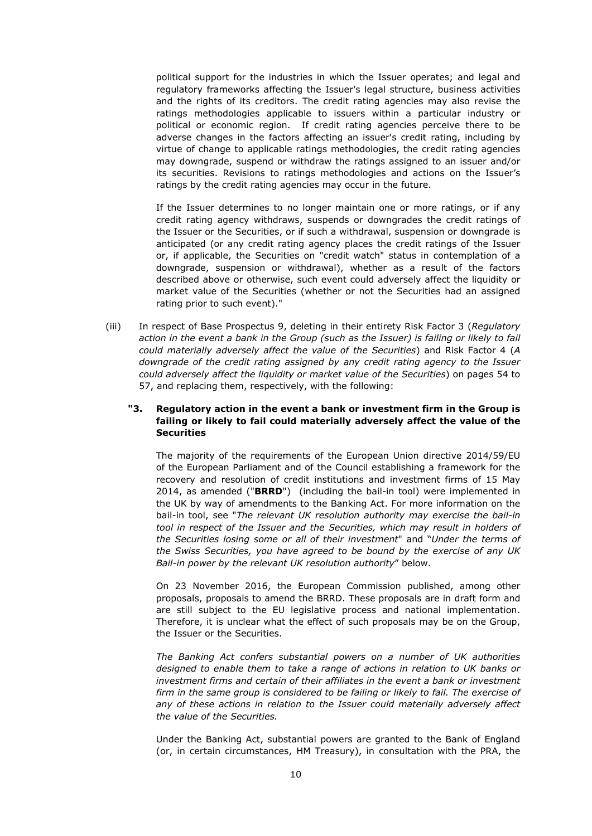political support for the industries in which the Issuer operates; and legal and regulatory frameworks affecting the Issuer's legal structure, business activities and the rights of its creditors. The credit rating agencies may also revise the ratings methodologies applicable to issuers within a particular industry or political or economic region. If credit rating agencies perceive there to be adverse changes in the factors affecting an issuer's credit rating, including by virtue of change to applicable ratings methodologies, the credit rating agencies may downgrade, suspend or withdraw the ratings assigned to an issuer and/or its securities. Revisions to ratings methodologies and actions on the Issuer's ratings by the credit rating agencies may occur in the future.

If the Issuer determines to no longer maintain one or more ratings, or if any credit rating agency withdraws, suspends or downgrades the credit ratings of the Issuer or the Securities, or if such a withdrawal, suspension or downgrade is anticipated (or any credit rating agency places the credit ratings of the Issuer or, if applicable, the Securities on "credit watch" status in contemplation of a downgrade, suspension or withdrawal), whether as a result of the factors described above or otherwise, such event could adversely affect the liquidity or market value of the Securities (whether or not the Securities had an assigned rating prior to such event)."

(iii) In respect of Base Prospectus 9, deleting in their entirety Risk Factor 3 (*Regulatory*  action in the event a bank in the Group (such as the Issuer) is failing or likely to fail *could materially adversely affect the value of the Securities*) and Risk Factor 4 (*A downgrade of the credit rating assigned by any credit rating agency to the Issuer could adversely affect the liquidity or market value of the Securities*) on pages 54 to 57, and replacing them, respectively, with the following:

# **"3. Regulatory action in the event a bank or investment firm in the Group is failing or likely to fail could materially adversely affect the value of the Securities**

The majority of the requirements of the European Union directive 2014/59/EU of the European Parliament and of the Council establishing a framework for the recovery and resolution of credit institutions and investment firms of 15 May 2014, as amended ("**BRRD**") (including the bail-in tool) were implemented in the UK by way of amendments to the Banking Act. For more information on the bail-in tool, see "*The relevant UK resolution authority may exercise the bail-in tool in respect of the Issuer and the Securities, which may result in holders of the Securities losing some or all of their investment*" and "*Under the terms of the Swiss Securities, you have agreed to be bound by the exercise of any UK Bail-in power by the relevant UK resolution authority*" below.

On 23 November 2016, the European Commission published, among other proposals, proposals to amend the BRRD. These proposals are in draft form and are still subject to the EU legislative process and national implementation. Therefore, it is unclear what the effect of such proposals may be on the Group, the Issuer or the Securities.

*The Banking Act confers substantial powers on a number of UK authorities designed to enable them to take a range of actions in relation to UK banks or investment firms and certain of their affiliates in the event a bank or investment firm in the same group is considered to be failing or likely to fail. The exercise of*  any of these actions in relation to the Issuer could materially adversely affect *the value of the Securities.*

Under the Banking Act, substantial powers are granted to the Bank of England (or, in certain circumstances, HM Treasury), in consultation with the PRA, the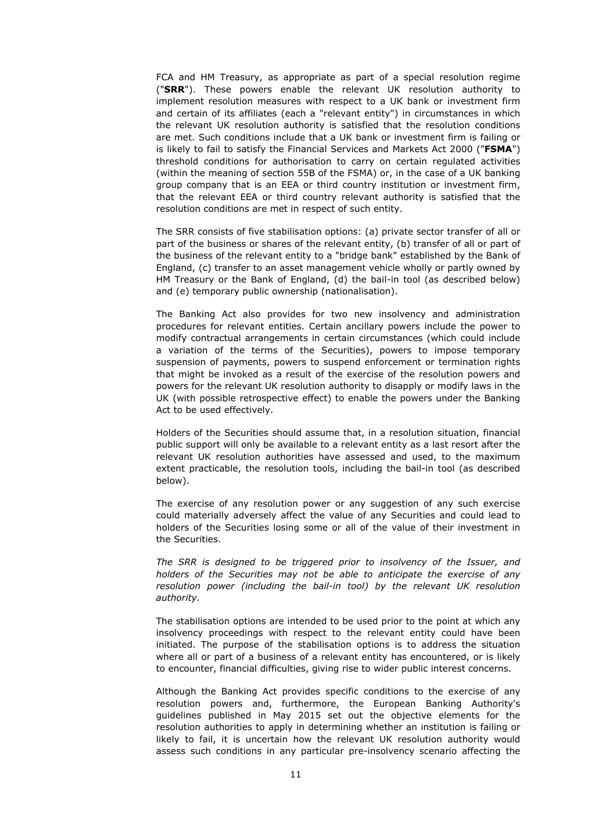FCA and HM Treasury, as appropriate as part of a special resolution regime ("**SRR**"). These powers enable the relevant UK resolution authority to implement resolution measures with respect to a UK bank or investment firm and certain of its affiliates (each a "relevant entity") in circumstances in which the relevant UK resolution authority is satisfied that the resolution conditions are met. Such conditions include that a UK bank or investment firm is failing or is likely to fail to satisfy the Financial Services and Markets Act 2000 ("**FSMA**") threshold conditions for authorisation to carry on certain regulated activities (within the meaning of section 55B of the FSMA) or, in the case of a UK banking group company that is an EEA or third country institution or investment firm, that the relevant EEA or third country relevant authority is satisfied that the resolution conditions are met in respect of such entity.

The SRR consists of five stabilisation options: (a) private sector transfer of all or part of the business or shares of the relevant entity, (b) transfer of all or part of the business of the relevant entity to a "bridge bank" established by the Bank of England, (c) transfer to an asset management vehicle wholly or partly owned by HM Treasury or the Bank of England, (d) the bail-in tool (as described below) and (e) temporary public ownership (nationalisation).

The Banking Act also provides for two new insolvency and administration procedures for relevant entities. Certain ancillary powers include the power to modify contractual arrangements in certain circumstances (which could include a variation of the terms of the Securities), powers to impose temporary suspension of payments, powers to suspend enforcement or termination rights that might be invoked as a result of the exercise of the resolution powers and powers for the relevant UK resolution authority to disapply or modify laws in the UK (with possible retrospective effect) to enable the powers under the Banking Act to be used effectively.

Holders of the Securities should assume that, in a resolution situation, financial public support will only be available to a relevant entity as a last resort after the relevant UK resolution authorities have assessed and used, to the maximum extent practicable, the resolution tools, including the bail-in tool (as described below).

The exercise of any resolution power or any suggestion of any such exercise could materially adversely affect the value of any Securities and could lead to holders of the Securities losing some or all of the value of their investment in the Securities.

*The SRR is designed to be triggered prior to insolvency of the Issuer, and holders of the Securities may not be able to anticipate the exercise of any resolution power (including the bail-in tool) by the relevant UK resolution authority.*

The stabilisation options are intended to be used prior to the point at which any insolvency proceedings with respect to the relevant entity could have been initiated. The purpose of the stabilisation options is to address the situation where all or part of a business of a relevant entity has encountered, or is likely to encounter, financial difficulties, giving rise to wider public interest concerns.

Although the Banking Act provides specific conditions to the exercise of any resolution powers and, furthermore, the European Banking Authority's guidelines published in May 2015 set out the objective elements for the resolution authorities to apply in determining whether an institution is failing or likely to fail, it is uncertain how the relevant UK resolution authority would assess such conditions in any particular pre-insolvency scenario affecting the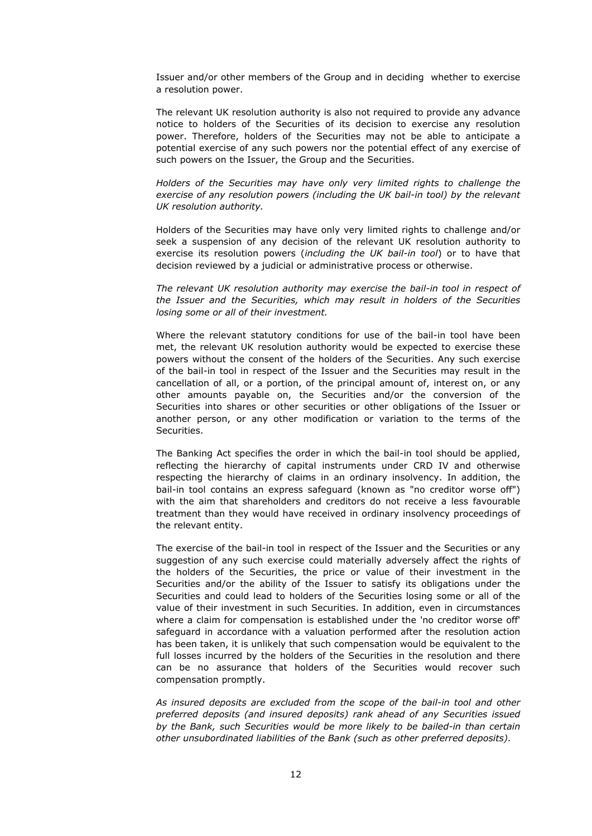Issuer and/or other members of the Group and in deciding whether to exercise a resolution power.

The relevant UK resolution authority is also not required to provide any advance notice to holders of the Securities of its decision to exercise any resolution power. Therefore, holders of the Securities may not be able to anticipate a potential exercise of any such powers nor the potential effect of any exercise of such powers on the Issuer, the Group and the Securities.

*Holders of the Securities may have only very limited rights to challenge the exercise of any resolution powers (including the UK bail-in tool) by the relevant UK resolution authority.*

Holders of the Securities may have only very limited rights to challenge and/or seek a suspension of any decision of the relevant UK resolution authority to exercise its resolution powers (*including the UK bail-in tool*) or to have that decision reviewed by a judicial or administrative process or otherwise.

*The relevant UK resolution authority may exercise the bail-in tool in respect of the Issuer and the Securities, which may result in holders of the Securities losing some or all of their investment.*

Where the relevant statutory conditions for use of the bail-in tool have been met, the relevant UK resolution authority would be expected to exercise these powers without the consent of the holders of the Securities. Any such exercise of the bail-in tool in respect of the Issuer and the Securities may result in the cancellation of all, or a portion, of the principal amount of, interest on, or any other amounts payable on, the Securities and/or the conversion of the Securities into shares or other securities or other obligations of the Issuer or another person, or any other modification or variation to the terms of the Securities.

The Banking Act specifies the order in which the bail-in tool should be applied, reflecting the hierarchy of capital instruments under CRD IV and otherwise respecting the hierarchy of claims in an ordinary insolvency. In addition, the bail-in tool contains an express safeguard (known as "no creditor worse off") with the aim that shareholders and creditors do not receive a less favourable treatment than they would have received in ordinary insolvency proceedings of the relevant entity.

The exercise of the bail-in tool in respect of the Issuer and the Securities or any suggestion of any such exercise could materially adversely affect the rights of the holders of the Securities, the price or value of their investment in the Securities and/or the ability of the Issuer to satisfy its obligations under the Securities and could lead to holders of the Securities losing some or all of the value of their investment in such Securities. In addition, even in circumstances where a claim for compensation is established under the 'no creditor worse off' safeguard in accordance with a valuation performed after the resolution action has been taken, it is unlikely that such compensation would be equivalent to the full losses incurred by the holders of the Securities in the resolution and there can be no assurance that holders of the Securities would recover such compensation promptly.

*As insured deposits are excluded from the scope of the bail-in tool and other preferred deposits (and insured deposits) rank ahead of any Securities issued by the Bank, such Securities would be more likely to be bailed-in than certain other unsubordinated liabilities of the Bank (such as other preferred deposits).*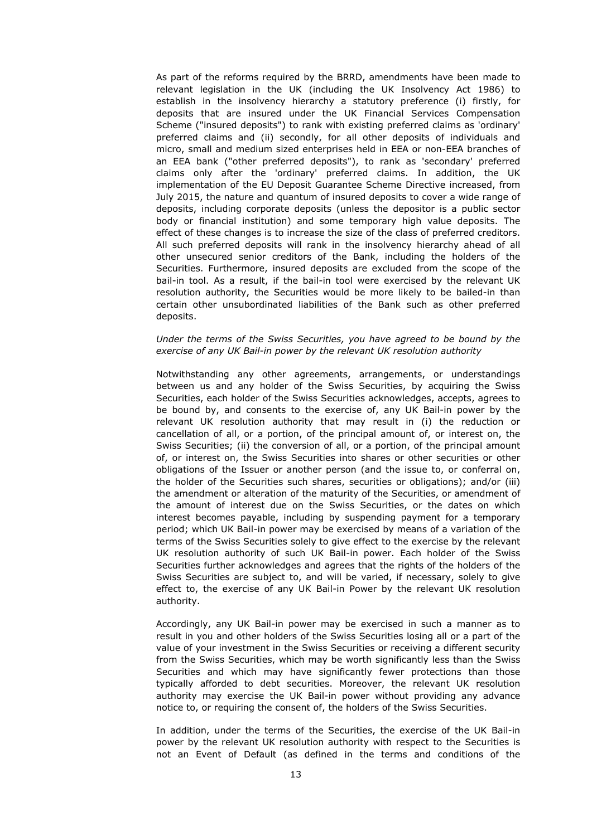As part of the reforms required by the BRRD, amendments have been made to relevant legislation in the UK (including the UK Insolvency Act 1986) to establish in the insolvency hierarchy a statutory preference (i) firstly, for deposits that are insured under the UK Financial Services Compensation Scheme ("insured deposits") to rank with existing preferred claims as 'ordinary' preferred claims and (ii) secondly, for all other deposits of individuals and micro, small and medium sized enterprises held in EEA or non-EEA branches of an EEA bank ("other preferred deposits"), to rank as 'secondary' preferred claims only after the 'ordinary' preferred claims. In addition, the UK implementation of the EU Deposit Guarantee Scheme Directive increased, from July 2015, the nature and quantum of insured deposits to cover a wide range of deposits, including corporate deposits (unless the depositor is a public sector body or financial institution) and some temporary high value deposits. The effect of these changes is to increase the size of the class of preferred creditors. All such preferred deposits will rank in the insolvency hierarchy ahead of all other unsecured senior creditors of the Bank, including the holders of the Securities. Furthermore, insured deposits are excluded from the scope of the bail-in tool. As a result, if the bail-in tool were exercised by the relevant UK resolution authority, the Securities would be more likely to be bailed-in than certain other unsubordinated liabilities of the Bank such as other preferred deposits.

### *Under the terms of the Swiss Securities, you have agreed to be bound by the exercise of any UK Bail-in power by the relevant UK resolution authority*

Notwithstanding any other agreements, arrangements, or understandings between us and any holder of the Swiss Securities, by acquiring the Swiss Securities, each holder of the Swiss Securities acknowledges, accepts, agrees to be bound by, and consents to the exercise of, any UK Bail-in power by the relevant UK resolution authority that may result in (i) the reduction or cancellation of all, or a portion, of the principal amount of, or interest on, the Swiss Securities; (ii) the conversion of all, or a portion, of the principal amount of, or interest on, the Swiss Securities into shares or other securities or other obligations of the Issuer or another person (and the issue to, or conferral on, the holder of the Securities such shares, securities or obligations); and/or (iii) the amendment or alteration of the maturity of the Securities, or amendment of the amount of interest due on the Swiss Securities, or the dates on which interest becomes payable, including by suspending payment for a temporary period; which UK Bail-in power may be exercised by means of a variation of the terms of the Swiss Securities solely to give effect to the exercise by the relevant UK resolution authority of such UK Bail-in power. Each holder of the Swiss Securities further acknowledges and agrees that the rights of the holders of the Swiss Securities are subject to, and will be varied, if necessary, solely to give effect to, the exercise of any UK Bail-in Power by the relevant UK resolution authority.

Accordingly, any UK Bail-in power may be exercised in such a manner as to result in you and other holders of the Swiss Securities losing all or a part of the value of your investment in the Swiss Securities or receiving a different security from the Swiss Securities, which may be worth significantly less than the Swiss Securities and which may have significantly fewer protections than those typically afforded to debt securities. Moreover, the relevant UK resolution authority may exercise the UK Bail-in power without providing any advance notice to, or requiring the consent of, the holders of the Swiss Securities.

In addition, under the terms of the Securities, the exercise of the UK Bail-in power by the relevant UK resolution authority with respect to the Securities is not an Event of Default (as defined in the terms and conditions of the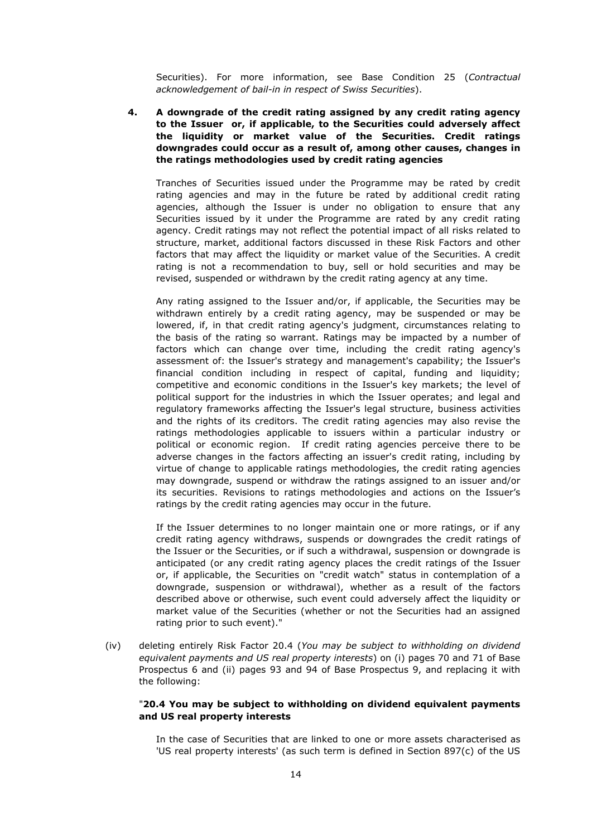Securities). For more information, see Base Condition 25 (*Contractual acknowledgement of bail-in in respect of Swiss Securities*).

**4. A downgrade of the credit rating assigned by any credit rating agency to the Issuer or, if applicable, to the Securities could adversely affect the liquidity or market value of the Securities. Credit ratings downgrades could occur as a result of, among other causes, changes in the ratings methodologies used by credit rating agencies**

Tranches of Securities issued under the Programme may be rated by credit rating agencies and may in the future be rated by additional credit rating agencies, although the Issuer is under no obligation to ensure that any Securities issued by it under the Programme are rated by any credit rating agency. Credit ratings may not reflect the potential impact of all risks related to structure, market, additional factors discussed in these Risk Factors and other factors that may affect the liquidity or market value of the Securities. A credit rating is not a recommendation to buy, sell or hold securities and may be revised, suspended or withdrawn by the credit rating agency at any time.

Any rating assigned to the Issuer and/or, if applicable, the Securities may be withdrawn entirely by a credit rating agency, may be suspended or may be lowered, if, in that credit rating agency's judgment, circumstances relating to the basis of the rating so warrant. Ratings may be impacted by a number of factors which can change over time, including the credit rating agency's assessment of: the Issuer's strategy and management's capability; the Issuer's financial condition including in respect of capital, funding and liquidity; competitive and economic conditions in the Issuer's key markets; the level of political support for the industries in which the Issuer operates; and legal and regulatory frameworks affecting the Issuer's legal structure, business activities and the rights of its creditors. The credit rating agencies may also revise the ratings methodologies applicable to issuers within a particular industry or political or economic region. If credit rating agencies perceive there to be adverse changes in the factors affecting an issuer's credit rating, including by virtue of change to applicable ratings methodologies, the credit rating agencies may downgrade, suspend or withdraw the ratings assigned to an issuer and/or its securities. Revisions to ratings methodologies and actions on the Issuer's ratings by the credit rating agencies may occur in the future.

If the Issuer determines to no longer maintain one or more ratings, or if any credit rating agency withdraws, suspends or downgrades the credit ratings of the Issuer or the Securities, or if such a withdrawal, suspension or downgrade is anticipated (or any credit rating agency places the credit ratings of the Issuer or, if applicable, the Securities on "credit watch" status in contemplation of a downgrade, suspension or withdrawal), whether as a result of the factors described above or otherwise, such event could adversely affect the liquidity or market value of the Securities (whether or not the Securities had an assigned rating prior to such event)."

(iv) deleting entirely Risk Factor 20.4 (*You may be subject to withholding on dividend equivalent payments and US real property interests*) on (i) pages 70 and 71 of Base Prospectus 6 and (ii) pages 93 and 94 of Base Prospectus 9, and replacing it with the following:

### "**20.4 You may be subject to withholding on dividend equivalent payments and US real property interests**

In the case of Securities that are linked to one or more assets characterised as 'US real property interests' (as such term is defined in Section 897(c) of the US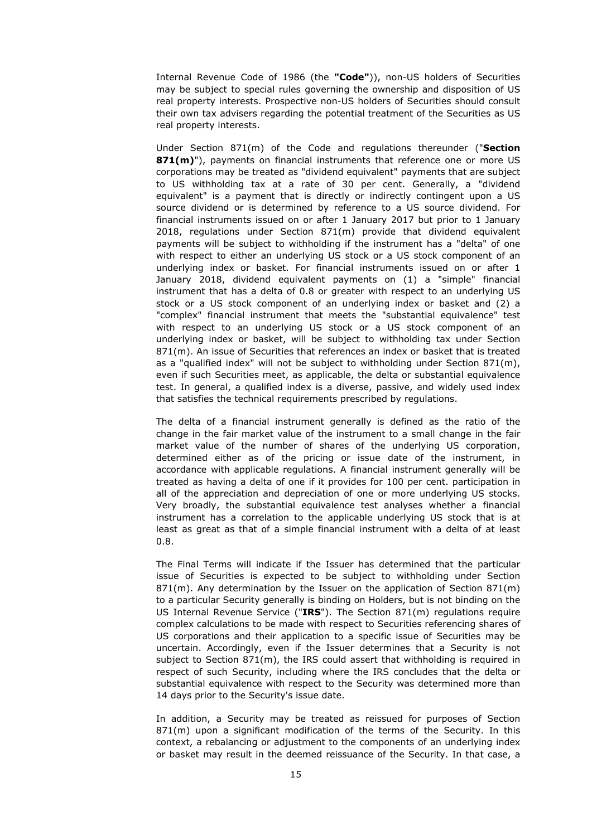Internal Revenue Code of 1986 (the **"Code"**)), non-US holders of Securities may be subject to special rules governing the ownership and disposition of US real property interests. Prospective non-US holders of Securities should consult their own tax advisers regarding the potential treatment of the Securities as US real property interests.

Under Section 871(m) of the Code and regulations thereunder ("**Section 871(m)**"), payments on financial instruments that reference one or more US corporations may be treated as "dividend equivalent" payments that are subject to US withholding tax at a rate of 30 per cent. Generally, a "dividend equivalent" is a payment that is directly or indirectly contingent upon a US source dividend or is determined by reference to a US source dividend. For financial instruments issued on or after 1 January 2017 but prior to 1 January 2018, regulations under Section 871(m) provide that dividend equivalent payments will be subject to withholding if the instrument has a "delta" of one with respect to either an underlying US stock or a US stock component of an underlying index or basket. For financial instruments issued on or after 1 January 2018, dividend equivalent payments on (1) a "simple" financial instrument that has a delta of 0.8 or greater with respect to an underlying US stock or a US stock component of an underlying index or basket and (2) a "complex" financial instrument that meets the "substantial equivalence" test with respect to an underlying US stock or a US stock component of an underlying index or basket, will be subject to withholding tax under Section 871(m). An issue of Securities that references an index or basket that is treated as a "qualified index" will not be subject to withholding under Section 871(m), even if such Securities meet, as applicable, the delta or substantial equivalence test. In general, a qualified index is a diverse, passive, and widely used index that satisfies the technical requirements prescribed by regulations.

The delta of a financial instrument generally is defined as the ratio of the change in the fair market value of the instrument to a small change in the fair market value of the number of shares of the underlying US corporation, determined either as of the pricing or issue date of the instrument, in accordance with applicable regulations. A financial instrument generally will be treated as having a delta of one if it provides for 100 per cent. participation in all of the appreciation and depreciation of one or more underlying US stocks. Very broadly, the substantial equivalence test analyses whether a financial instrument has a correlation to the applicable underlying US stock that is at least as great as that of a simple financial instrument with a delta of at least 0.8.

The Final Terms will indicate if the Issuer has determined that the particular issue of Securities is expected to be subject to withholding under Section  $871(m)$ . Any determination by the Issuer on the application of Section  $871(m)$ to a particular Security generally is binding on Holders, but is not binding on the US Internal Revenue Service ("**IRS**"). The Section 871(m) regulations require complex calculations to be made with respect to Securities referencing shares of US corporations and their application to a specific issue of Securities may be uncertain. Accordingly, even if the Issuer determines that a Security is not subject to Section 871(m), the IRS could assert that withholding is required in respect of such Security, including where the IRS concludes that the delta or substantial equivalence with respect to the Security was determined more than 14 days prior to the Security's issue date.

In addition, a Security may be treated as reissued for purposes of Section 871(m) upon a significant modification of the terms of the Security. In this context, a rebalancing or adjustment to the components of an underlying index or basket may result in the deemed reissuance of the Security. In that case, a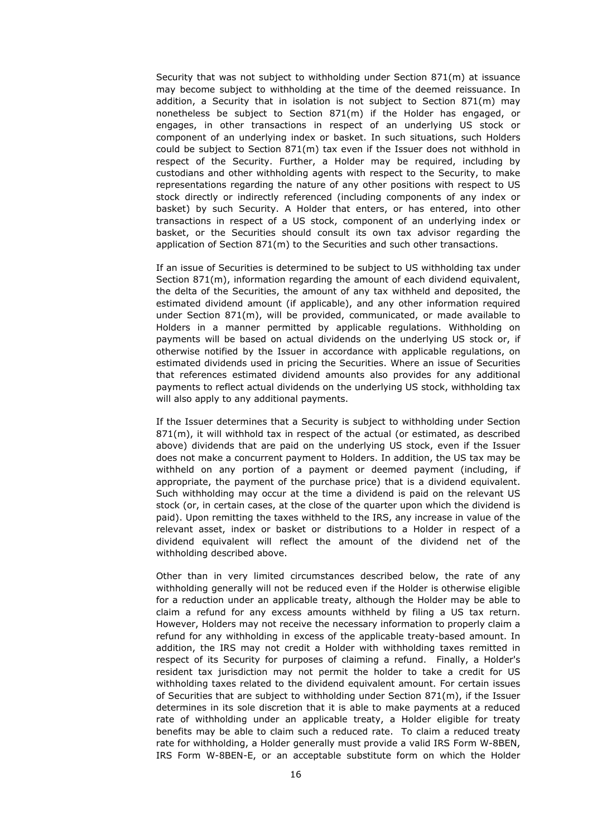Security that was not subject to withholding under Section 871(m) at issuance may become subject to withholding at the time of the deemed reissuance. In addition, a Security that in isolation is not subject to Section 871(m) may nonetheless be subject to Section 871(m) if the Holder has engaged, or engages, in other transactions in respect of an underlying US stock or component of an underlying index or basket. In such situations, such Holders could be subject to Section 871(m) tax even if the Issuer does not withhold in respect of the Security. Further, a Holder may be required, including by custodians and other withholding agents with respect to the Security, to make representations regarding the nature of any other positions with respect to US stock directly or indirectly referenced (including components of any index or basket) by such Security. A Holder that enters, or has entered, into other transactions in respect of a US stock, component of an underlying index or basket, or the Securities should consult its own tax advisor regarding the application of Section 871(m) to the Securities and such other transactions.

If an issue of Securities is determined to be subject to US withholding tax under Section 871(m), information regarding the amount of each dividend equivalent, the delta of the Securities, the amount of any tax withheld and deposited, the estimated dividend amount (if applicable), and any other information required under Section 871(m), will be provided, communicated, or made available to Holders in a manner permitted by applicable regulations. Withholding on payments will be based on actual dividends on the underlying US stock or, if otherwise notified by the Issuer in accordance with applicable regulations, on estimated dividends used in pricing the Securities. Where an issue of Securities that references estimated dividend amounts also provides for any additional payments to reflect actual dividends on the underlying US stock, withholding tax will also apply to any additional payments.

If the Issuer determines that a Security is subject to withholding under Section 871(m), it will withhold tax in respect of the actual (or estimated, as described above) dividends that are paid on the underlying US stock, even if the Issuer does not make a concurrent payment to Holders. In addition, the US tax may be withheld on any portion of a payment or deemed payment (including, if appropriate, the payment of the purchase price) that is a dividend equivalent. Such withholding may occur at the time a dividend is paid on the relevant US stock (or, in certain cases, at the close of the quarter upon which the dividend is paid). Upon remitting the taxes withheld to the IRS, any increase in value of the relevant asset, index or basket or distributions to a Holder in respect of a dividend equivalent will reflect the amount of the dividend net of the withholding described above.

Other than in very limited circumstances described below, the rate of any withholding generally will not be reduced even if the Holder is otherwise eligible for a reduction under an applicable treaty, although the Holder may be able to claim a refund for any excess amounts withheld by filing a US tax return. However, Holders may not receive the necessary information to properly claim a refund for any withholding in excess of the applicable treaty-based amount. In addition, the IRS may not credit a Holder with withholding taxes remitted in respect of its Security for purposes of claiming a refund. Finally, a Holder's resident tax jurisdiction may not permit the holder to take a credit for US withholding taxes related to the dividend equivalent amount. For certain issues of Securities that are subject to withholding under Section 871(m), if the Issuer determines in its sole discretion that it is able to make payments at a reduced rate of withholding under an applicable treaty, a Holder eligible for treaty benefits may be able to claim such a reduced rate. To claim a reduced treaty rate for withholding, a Holder generally must provide a valid IRS Form W-8BEN, IRS Form W-8BEN-E, or an acceptable substitute form on which the Holder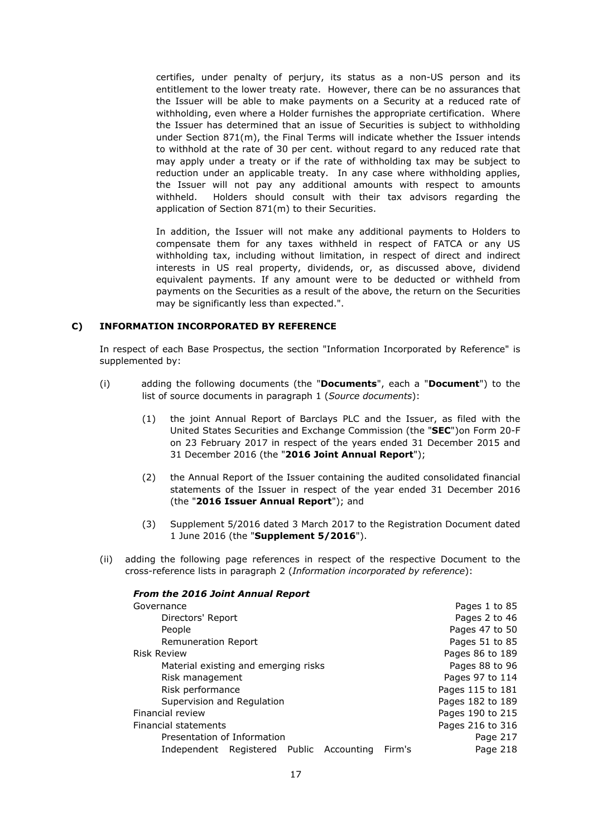certifies, under penalty of perjury, its status as a non-US person and its entitlement to the lower treaty rate. However, there can be no assurances that the Issuer will be able to make payments on a Security at a reduced rate of withholding, even where a Holder furnishes the appropriate certification. Where the Issuer has determined that an issue of Securities is subject to withholding under Section 871(m), the Final Terms will indicate whether the Issuer intends to withhold at the rate of 30 per cent. without regard to any reduced rate that may apply under a treaty or if the rate of withholding tax may be subject to reduction under an applicable treaty. In any case where withholding applies, the Issuer will not pay any additional amounts with respect to amounts withheld. Holders should consult with their tax advisors regarding the application of Section 871(m) to their Securities.

In addition, the Issuer will not make any additional payments to Holders to compensate them for any taxes withheld in respect of FATCA or any US withholding tax, including without limitation, in respect of direct and indirect interests in US real property, dividends, or, as discussed above, dividend equivalent payments. If any amount were to be deducted or withheld from payments on the Securities as a result of the above, the return on the Securities may be significantly less than expected.".

### **C) INFORMATION INCORPORATED BY REFERENCE**

In respect of each Base Prospectus, the section "Information Incorporated by Reference" is supplemented by:

- (i) adding the following documents (the "**Documents**", each a "**Document**") to the list of source documents in paragraph 1 (*Source documents*):
	- (1) the joint Annual Report of Barclays PLC and the Issuer, as filed with the United States Securities and Exchange Commission (the "**SEC**")on Form 20-F on 23 February 2017 in respect of the years ended 31 December 2015 and 31 December 2016 (the "**2016 Joint Annual Report**");
	- (2) the Annual Report of the Issuer containing the audited consolidated financial statements of the Issuer in respect of the year ended 31 December 2016 (the "**2016 Issuer Annual Report**"); and
	- (3) Supplement 5/2016 dated 3 March 2017 to the Registration Document dated 1 June 2016 (the "**Supplement 5/2016**").
- (ii) adding the following page references in respect of the respective Document to the cross-reference lists in paragraph 2 (*Information incorporated by reference*):

| <b>From the 2016 Joint Annual Report</b> |        |                  |
|------------------------------------------|--------|------------------|
| Governance                               |        | Pages 1 to 85    |
| Directors' Report                        |        | Pages 2 to 46    |
| People                                   |        | Pages 47 to 50   |
| <b>Remuneration Report</b>               |        | Pages 51 to 85   |
| <b>Risk Review</b>                       |        | Pages 86 to 189  |
| Material existing and emerging risks     |        | Pages 88 to 96   |
| Risk management                          |        | Pages 97 to 114  |
| Risk performance                         |        | Pages 115 to 181 |
| Supervision and Regulation               |        | Pages 182 to 189 |
| Financial review                         |        | Pages 190 to 215 |
| Financial statements                     |        | Pages 216 to 316 |
| Presentation of Information              |        | Page 217         |
| Independent Registered Public Accounting | Firm's | Page 218         |
|                                          |        |                  |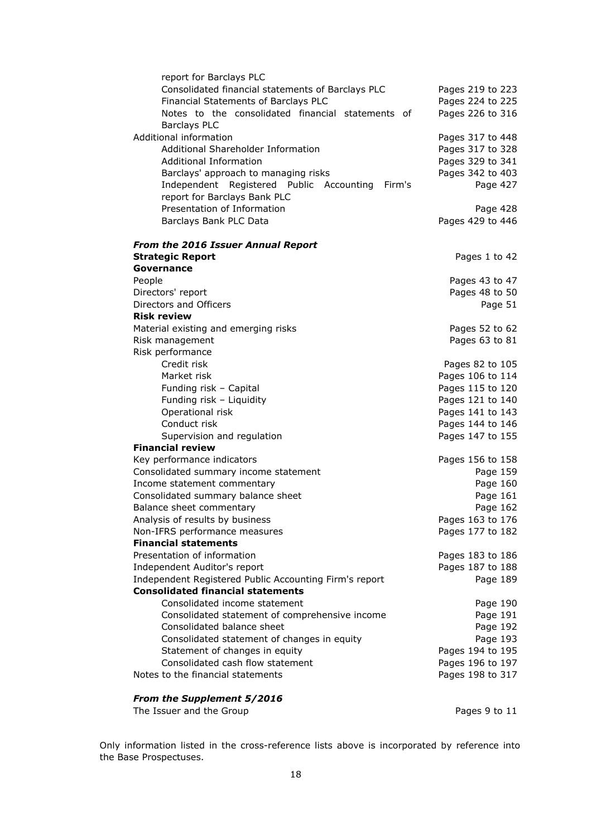| report for Barclays PLC                                |                  |
|--------------------------------------------------------|------------------|
| Consolidated financial statements of Barclays PLC      | Pages 219 to 223 |
| Financial Statements of Barclays PLC                   | Pages 224 to 225 |
| Notes to the consolidated financial statements of      | Pages 226 to 316 |
| <b>Barclays PLC</b>                                    |                  |
| Additional information                                 | Pages 317 to 448 |
| Additional Shareholder Information                     | Pages 317 to 328 |
| Additional Information                                 | Pages 329 to 341 |
| Barclays' approach to managing risks                   | Pages 342 to 403 |
| Independent Registered Public Accounting<br>Firm's     | Page 427         |
| report for Barclays Bank PLC                           |                  |
| Presentation of Information                            | Page 428         |
| Barclays Bank PLC Data                                 | Pages 429 to 446 |
| <b>From the 2016 Issuer Annual Report</b>              |                  |
| <b>Strategic Report</b>                                | Pages 1 to 42    |
| Governance                                             |                  |
| People                                                 | Pages 43 to 47   |
| Directors' report                                      | Pages 48 to 50   |
| Directors and Officers                                 | Page 51          |
| <b>Risk review</b>                                     |                  |
| Material existing and emerging risks                   | Pages 52 to 62   |
| Risk management                                        | Pages 63 to 81   |
| Risk performance                                       |                  |
| Credit risk                                            | Pages 82 to 105  |
| Market risk                                            | Pages 106 to 114 |
| Funding risk - Capital                                 | Pages 115 to 120 |
| Funding risk - Liquidity                               | Pages 121 to 140 |
| Operational risk                                       | Pages 141 to 143 |
| Conduct risk                                           | Pages 144 to 146 |
| Supervision and regulation                             | Pages 147 to 155 |
| <b>Financial review</b>                                |                  |
| Key performance indicators                             | Pages 156 to 158 |
| Consolidated summary income statement                  | Page 159         |
| Income statement commentary                            | Page 160         |
| Consolidated summary balance sheet                     | Page 161         |
| Balance sheet commentary                               | Page 162         |
| Analysis of results by business                        | Pages 163 to 176 |
| Non-IFRS performance measures                          | Pages 177 to 182 |
| <b>Financial statements</b>                            |                  |
| Presentation of information                            | Pages 183 to 186 |
| Independent Auditor's report                           | Pages 187 to 188 |
| Independent Registered Public Accounting Firm's report | Page 189         |
| <b>Consolidated financial statements</b>               |                  |
| Consolidated income statement                          | Page 190         |
| Consolidated statement of comprehensive income         | Page 191         |
| Consolidated balance sheet                             | Page 192         |
| Consolidated statement of changes in equity            | Page 193         |
| Statement of changes in equity                         | Pages 194 to 195 |
| Consolidated cash flow statement                       | Pages 196 to 197 |
| Notes to the financial statements                      | Pages 198 to 317 |
| From the Supplement 5/2016                             |                  |

The Issuer and the Group **Pages** 9 to 11

Only information listed in the cross-reference lists above is incorporated by reference into the Base Prospectuses.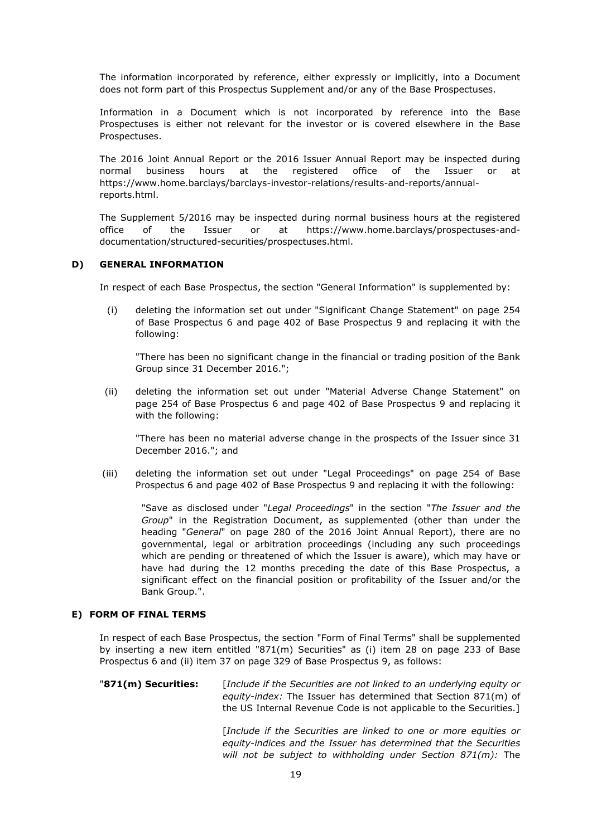The information incorporated by reference, either expressly or implicitly, into a Document does not form part of this Prospectus Supplement and/or any of the Base Prospectuses.

Information in a Document which is not incorporated by reference into the Base Prospectuses is either not relevant for the investor or is covered elsewhere in the Base Prospectuses.

The 2016 Joint Annual Report or the 2016 Issuer Annual Report may be inspected during normal business hours at the registered office of the Issuer or at https://www.home.barclays/barclays-investor-relations/results-and-reports/annualreports.html.

The Supplement 5/2016 may be inspected during normal business hours at the registered office of the Issuer or at https://www.home.barclays/prospectuses-anddocumentation/structured-securities/prospectuses.html.

### **D) GENERAL INFORMATION**

In respect of each Base Prospectus, the section "General Information" is supplemented by:

(i) deleting the information set out under "Significant Change Statement" on page 254 of Base Prospectus 6 and page 402 of Base Prospectus 9 and replacing it with the following:

"There has been no significant change in the financial or trading position of the Bank Group since 31 December 2016.";

(ii) deleting the information set out under "Material Adverse Change Statement" on page 254 of Base Prospectus 6 and page 402 of Base Prospectus 9 and replacing it with the following:

"There has been no material adverse change in the prospects of the Issuer since 31 December 2016."; and

(iii) deleting the information set out under "Legal Proceedings" on page 254 of Base Prospectus 6 and page 402 of Base Prospectus 9 and replacing it with the following:

"Save as disclosed under "*Legal Proceedings*" in the section "*The Issuer and the Group*" in the Registration Document, as supplemented (other than under the heading "*General*" on page 280 of the 2016 Joint Annual Report), there are no governmental, legal or arbitration proceedings (including any such proceedings which are pending or threatened of which the Issuer is aware), which may have or have had during the 12 months preceding the date of this Base Prospectus, a significant effect on the financial position or profitability of the Issuer and/or the Bank Group.".

# **E) FORM OF FINAL TERMS**

In respect of each Base Prospectus, the section "Form of Final Terms" shall be supplemented by inserting a new item entitled "871(m) Securities" as (i) item 28 on page 233 of Base Prospectus 6 and (ii) item 37 on page 329 of Base Prospectus 9, as follows:

"**871(m) Securities:** [*Include if the Securities are not linked to an underlying equity or equity-index:* The Issuer has determined that Section 871(m) of the US Internal Revenue Code is not applicable to the Securities.]

> [*Include if the Securities are linked to one or more equities or equity-indices and the Issuer has determined that the Securities will not be subject to withholding under Section 871(m):* The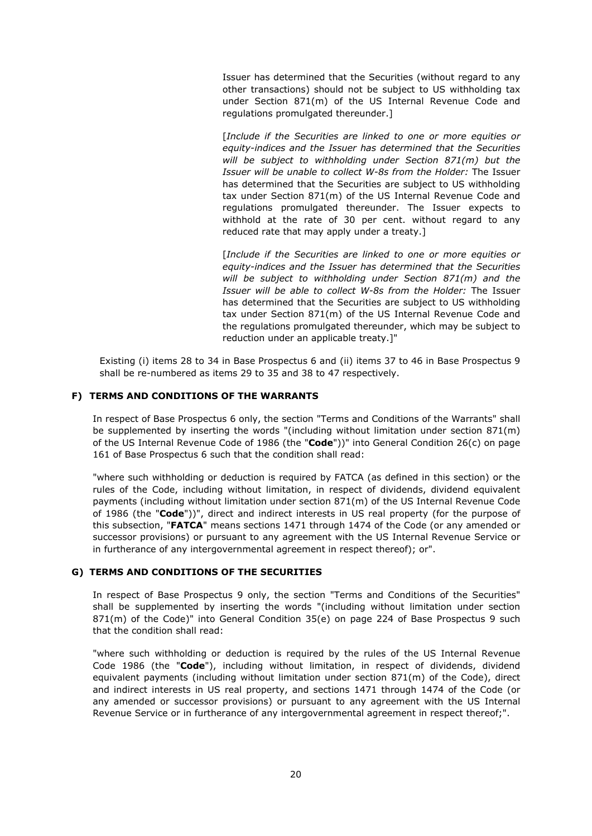Issuer has determined that the Securities (without regard to any other transactions) should not be subject to US withholding tax under Section 871(m) of the US Internal Revenue Code and regulations promulgated thereunder.]

[*Include if the Securities are linked to one or more equities or equity-indices and the Issuer has determined that the Securities will be subject to withholding under Section 871(m) but the Issuer will be unable to collect W-8s from the Holder:* The Issuer has determined that the Securities are subject to US withholding tax under Section 871(m) of the US Internal Revenue Code and regulations promulgated thereunder. The Issuer expects to withhold at the rate of 30 per cent. without regard to any reduced rate that may apply under a treaty.]

[*Include if the Securities are linked to one or more equities or equity-indices and the Issuer has determined that the Securities will be subject to withholding under Section 871(m) and the Issuer will be able to collect W-8s from the Holder:* The Issuer has determined that the Securities are subject to US withholding tax under Section 871(m) of the US Internal Revenue Code and the regulations promulgated thereunder, which may be subject to reduction under an applicable treaty.]"

Existing (i) items 28 to 34 in Base Prospectus 6 and (ii) items 37 to 46 in Base Prospectus 9 shall be re-numbered as items 29 to 35 and 38 to 47 respectively.

# **F) TERMS AND CONDITIONS OF THE WARRANTS**

In respect of Base Prospectus 6 only, the section "Terms and Conditions of the Warrants" shall be supplemented by inserting the words "(including without limitation under section 871(m) of the US Internal Revenue Code of 1986 (the "**Code**"))" into General Condition 26(c) on page 161 of Base Prospectus 6 such that the condition shall read:

"where such withholding or deduction is required by FATCA (as defined in this section) or the rules of the Code, including without limitation, in respect of dividends, dividend equivalent payments (including without limitation under section 871(m) of the US Internal Revenue Code of 1986 (the "**Code**"))", direct and indirect interests in US real property (for the purpose of this subsection, "**FATCA**" means sections 1471 through 1474 of the Code (or any amended or successor provisions) or pursuant to any agreement with the US Internal Revenue Service or in furtherance of any intergovernmental agreement in respect thereof); or".

### **G) TERMS AND CONDITIONS OF THE SECURITIES**

In respect of Base Prospectus 9 only, the section "Terms and Conditions of the Securities" shall be supplemented by inserting the words "(including without limitation under section 871(m) of the Code)" into General Condition 35(e) on page 224 of Base Prospectus 9 such that the condition shall read:

"where such withholding or deduction is required by the rules of the US Internal Revenue Code 1986 (the "**Code**"), including without limitation, in respect of dividends, dividend equivalent payments (including without limitation under section 871(m) of the Code), direct and indirect interests in US real property, and sections 1471 through 1474 of the Code (or any amended or successor provisions) or pursuant to any agreement with the US Internal Revenue Service or in furtherance of any intergovernmental agreement in respect thereof;".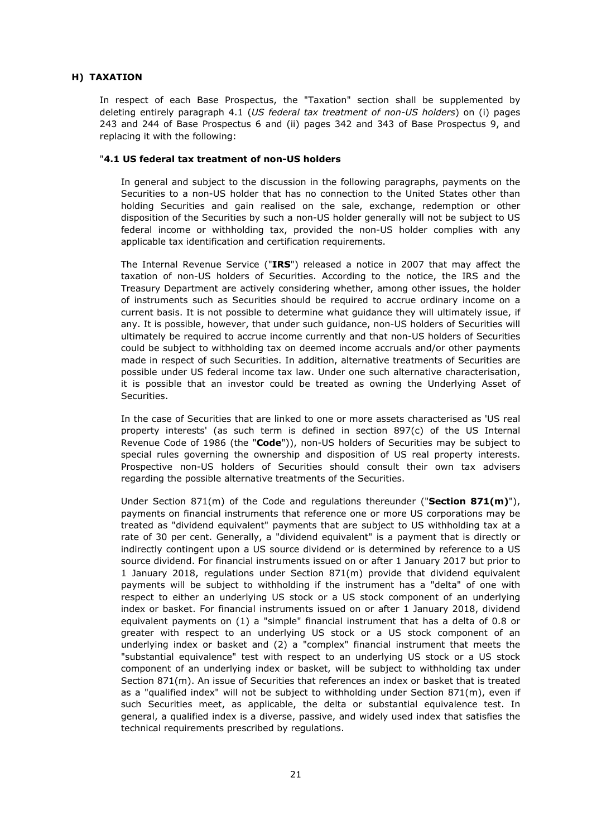### **H) TAXATION**

In respect of each Base Prospectus, the "Taxation" section shall be supplemented by deleting entirely paragraph 4.1 (*US federal tax treatment of non-US holders*) on (i) pages 243 and 244 of Base Prospectus 6 and (ii) pages 342 and 343 of Base Prospectus 9, and replacing it with the following:

### "**4.1 US federal tax treatment of non-US holders**

In general and subject to the discussion in the following paragraphs, payments on the Securities to a non-US holder that has no connection to the United States other than holding Securities and gain realised on the sale, exchange, redemption or other disposition of the Securities by such a non-US holder generally will not be subject to US federal income or withholding tax, provided the non-US holder complies with any applicable tax identification and certification requirements.

The Internal Revenue Service ("**IRS**") released a notice in 2007 that may affect the taxation of non-US holders of Securities. According to the notice, the IRS and the Treasury Department are actively considering whether, among other issues, the holder of instruments such as Securities should be required to accrue ordinary income on a current basis. It is not possible to determine what guidance they will ultimately issue, if any. It is possible, however, that under such guidance, non-US holders of Securities will ultimately be required to accrue income currently and that non-US holders of Securities could be subject to withholding tax on deemed income accruals and/or other payments made in respect of such Securities. In addition, alternative treatments of Securities are possible under US federal income tax law. Under one such alternative characterisation, it is possible that an investor could be treated as owning the Underlying Asset of Securities.

In the case of Securities that are linked to one or more assets characterised as 'US real property interests' (as such term is defined in section 897(c) of the US Internal Revenue Code of 1986 (the "**Code**")), non-US holders of Securities may be subject to special rules governing the ownership and disposition of US real property interests. Prospective non-US holders of Securities should consult their own tax advisers regarding the possible alternative treatments of the Securities.

Under Section 871(m) of the Code and regulations thereunder ("**Section 871(m)**"), payments on financial instruments that reference one or more US corporations may be treated as "dividend equivalent" payments that are subject to US withholding tax at a rate of 30 per cent. Generally, a "dividend equivalent" is a payment that is directly or indirectly contingent upon a US source dividend or is determined by reference to a US source dividend. For financial instruments issued on or after 1 January 2017 but prior to 1 January 2018, regulations under Section 871(m) provide that dividend equivalent payments will be subject to withholding if the instrument has a "delta" of one with respect to either an underlying US stock or a US stock component of an underlying index or basket. For financial instruments issued on or after 1 January 2018, dividend equivalent payments on (1) a "simple" financial instrument that has a delta of 0.8 or greater with respect to an underlying US stock or a US stock component of an underlying index or basket and (2) a "complex" financial instrument that meets the "substantial equivalence" test with respect to an underlying US stock or a US stock component of an underlying index or basket, will be subject to withholding tax under Section 871(m). An issue of Securities that references an index or basket that is treated as a "qualified index" will not be subject to withholding under Section 871(m), even if such Securities meet, as applicable, the delta or substantial equivalence test. In general, a qualified index is a diverse, passive, and widely used index that satisfies the technical requirements prescribed by regulations.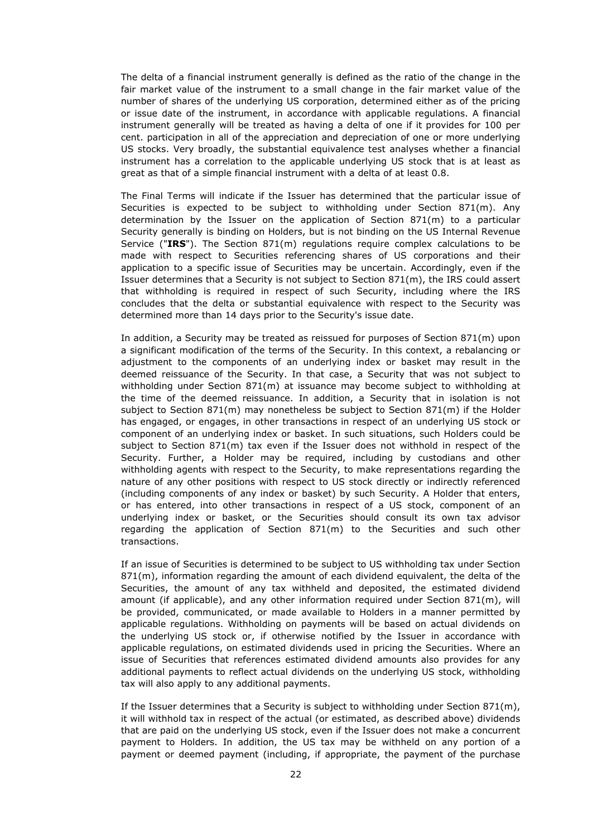The delta of a financial instrument generally is defined as the ratio of the change in the fair market value of the instrument to a small change in the fair market value of the number of shares of the underlying US corporation, determined either as of the pricing or issue date of the instrument, in accordance with applicable regulations. A financial instrument generally will be treated as having a delta of one if it provides for 100 per cent. participation in all of the appreciation and depreciation of one or more underlying US stocks. Very broadly, the substantial equivalence test analyses whether a financial instrument has a correlation to the applicable underlying US stock that is at least as great as that of a simple financial instrument with a delta of at least 0.8.

The Final Terms will indicate if the Issuer has determined that the particular issue of Securities is expected to be subject to withholding under Section 871(m). Any determination by the Issuer on the application of Section 871(m) to a particular Security generally is binding on Holders, but is not binding on the US Internal Revenue Service ("**IRS**"). The Section 871(m) regulations require complex calculations to be made with respect to Securities referencing shares of US corporations and their application to a specific issue of Securities may be uncertain. Accordingly, even if the Issuer determines that a Security is not subject to Section 871(m), the IRS could assert that withholding is required in respect of such Security, including where the IRS concludes that the delta or substantial equivalence with respect to the Security was determined more than 14 days prior to the Security's issue date.

In addition, a Security may be treated as reissued for purposes of Section 871(m) upon a significant modification of the terms of the Security. In this context, a rebalancing or adjustment to the components of an underlying index or basket may result in the deemed reissuance of the Security. In that case, a Security that was not subject to withholding under Section 871(m) at issuance may become subject to withholding at the time of the deemed reissuance. In addition, a Security that in isolation is not subject to Section 871(m) may nonetheless be subject to Section 871(m) if the Holder has engaged, or engages, in other transactions in respect of an underlying US stock or component of an underlying index or basket. In such situations, such Holders could be subject to Section  $871(m)$  tax even if the Issuer does not withhold in respect of the Security. Further, a Holder may be required, including by custodians and other withholding agents with respect to the Security, to make representations regarding the nature of any other positions with respect to US stock directly or indirectly referenced (including components of any index or basket) by such Security. A Holder that enters, or has entered, into other transactions in respect of a US stock, component of an underlying index or basket, or the Securities should consult its own tax advisor regarding the application of Section 871(m) to the Securities and such other transactions.

If an issue of Securities is determined to be subject to US withholding tax under Section 871(m), information regarding the amount of each dividend equivalent, the delta of the Securities, the amount of any tax withheld and deposited, the estimated dividend amount (if applicable), and any other information required under Section 871(m), will be provided, communicated, or made available to Holders in a manner permitted by applicable regulations. Withholding on payments will be based on actual dividends on the underlying US stock or, if otherwise notified by the Issuer in accordance with applicable regulations, on estimated dividends used in pricing the Securities. Where an issue of Securities that references estimated dividend amounts also provides for any additional payments to reflect actual dividends on the underlying US stock, withholding tax will also apply to any additional payments.

If the Issuer determines that a Security is subject to withholding under Section  $871(m)$ , it will withhold tax in respect of the actual (or estimated, as described above) dividends that are paid on the underlying US stock, even if the Issuer does not make a concurrent payment to Holders. In addition, the US tax may be withheld on any portion of a payment or deemed payment (including, if appropriate, the payment of the purchase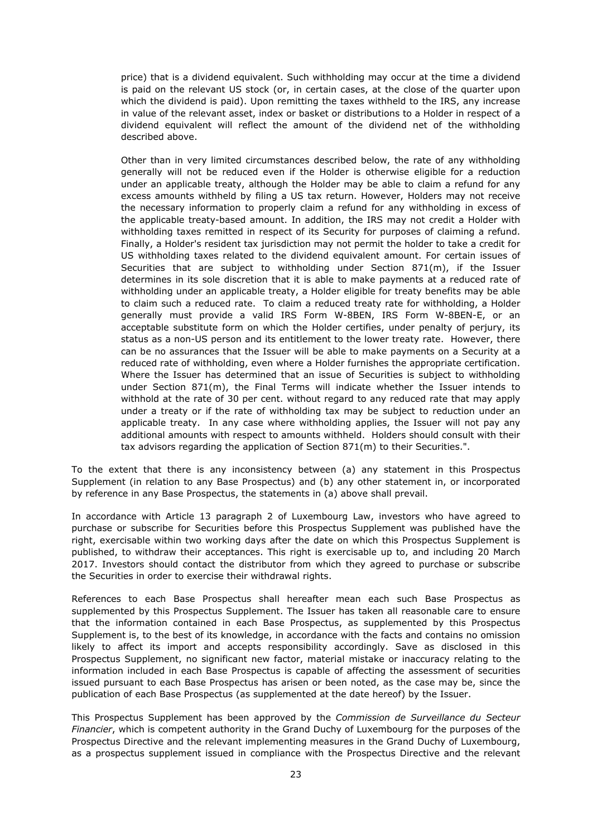price) that is a dividend equivalent. Such withholding may occur at the time a dividend is paid on the relevant US stock (or, in certain cases, at the close of the quarter upon which the dividend is paid). Upon remitting the taxes withheld to the IRS, any increase in value of the relevant asset, index or basket or distributions to a Holder in respect of a dividend equivalent will reflect the amount of the dividend net of the withholding described above.

Other than in very limited circumstances described below, the rate of any withholding generally will not be reduced even if the Holder is otherwise eligible for a reduction under an applicable treaty, although the Holder may be able to claim a refund for any excess amounts withheld by filing a US tax return. However, Holders may not receive the necessary information to properly claim a refund for any withholding in excess of the applicable treaty-based amount. In addition, the IRS may not credit a Holder with withholding taxes remitted in respect of its Security for purposes of claiming a refund. Finally, a Holder's resident tax jurisdiction may not permit the holder to take a credit for US withholding taxes related to the dividend equivalent amount. For certain issues of Securities that are subject to withholding under Section  $871(m)$ , if the Issuer determines in its sole discretion that it is able to make payments at a reduced rate of withholding under an applicable treaty, a Holder eligible for treaty benefits may be able to claim such a reduced rate. To claim a reduced treaty rate for withholding, a Holder generally must provide a valid IRS Form W-8BEN, IRS Form W-8BEN-E, or an acceptable substitute form on which the Holder certifies, under penalty of perjury, its status as a non-US person and its entitlement to the lower treaty rate. However, there can be no assurances that the Issuer will be able to make payments on a Security at a reduced rate of withholding, even where a Holder furnishes the appropriate certification. Where the Issuer has determined that an issue of Securities is subject to withholding under Section 871(m), the Final Terms will indicate whether the Issuer intends to withhold at the rate of 30 per cent. without regard to any reduced rate that may apply under a treaty or if the rate of withholding tax may be subject to reduction under an applicable treaty. In any case where withholding applies, the Issuer will not pay any additional amounts with respect to amounts withheld. Holders should consult with their tax advisors regarding the application of Section 871(m) to their Securities.".

To the extent that there is any inconsistency between (a) any statement in this Prospectus Supplement (in relation to any Base Prospectus) and (b) any other statement in, or incorporated by reference in any Base Prospectus, the statements in (a) above shall prevail.

In accordance with Article 13 paragraph 2 of Luxembourg Law, investors who have agreed to purchase or subscribe for Securities before this Prospectus Supplement was published have the right, exercisable within two working days after the date on which this Prospectus Supplement is published, to withdraw their acceptances. This right is exercisable up to, and including 20 March 2017. Investors should contact the distributor from which they agreed to purchase or subscribe the Securities in order to exercise their withdrawal rights.

References to each Base Prospectus shall hereafter mean each such Base Prospectus as supplemented by this Prospectus Supplement. The Issuer has taken all reasonable care to ensure that the information contained in each Base Prospectus, as supplemented by this Prospectus Supplement is, to the best of its knowledge, in accordance with the facts and contains no omission likely to affect its import and accepts responsibility accordingly. Save as disclosed in this Prospectus Supplement, no significant new factor, material mistake or inaccuracy relating to the information included in each Base Prospectus is capable of affecting the assessment of securities issued pursuant to each Base Prospectus has arisen or been noted, as the case may be, since the publication of each Base Prospectus (as supplemented at the date hereof) by the Issuer.

This Prospectus Supplement has been approved by the *Commission de Surveillance du Secteur Financier*, which is competent authority in the Grand Duchy of Luxembourg for the purposes of the Prospectus Directive and the relevant implementing measures in the Grand Duchy of Luxembourg, as a prospectus supplement issued in compliance with the Prospectus Directive and the relevant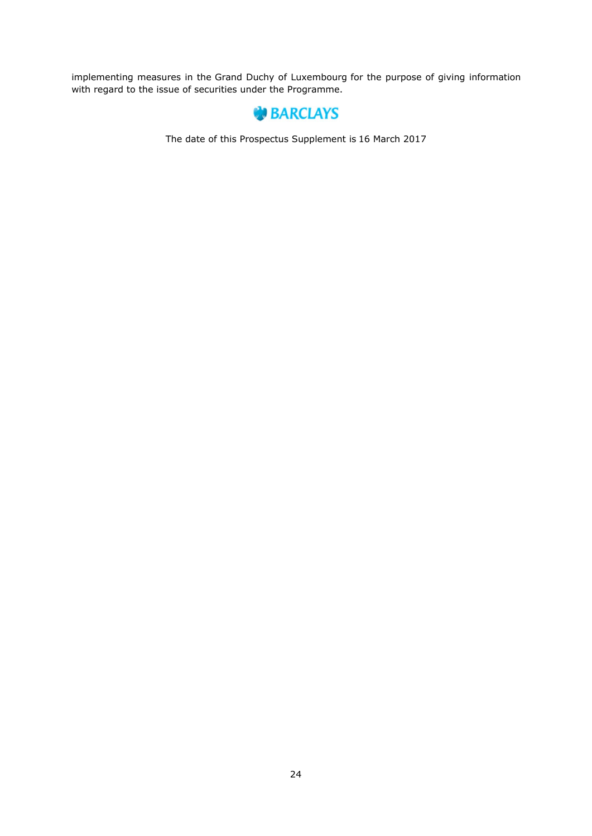implementing measures in the Grand Duchy of Luxembourg for the purpose of giving information with regard to the issue of securities under the Programme.



The date of this Prospectus Supplement is 16 March 2017